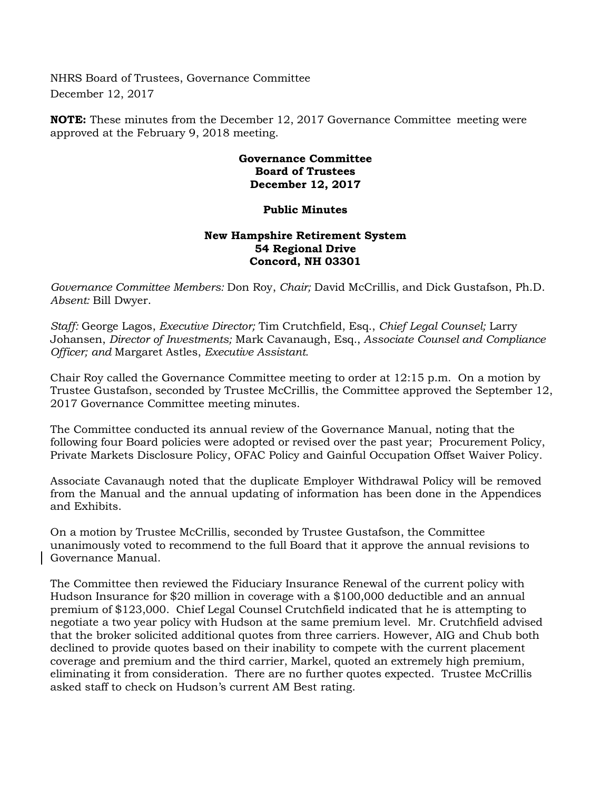NHRS Board of Trustees, Governance Committee December 12, 2017

**NOTE:** These minutes from the December 12, 2017 Governance Committee meeting were approved at the February 9, 2018 meeting.

## **Governance Committee Board of Trustees December 12, 2017**

## **Public Minutes**

## **New Hampshire Retirement System 54 Regional Drive Concord, NH 03301**

*Governance Committee Members:* Don Roy, *Chair;* David McCrillis, and Dick Gustafson, Ph.D. *Absent:* Bill Dwyer.

*Staff:* George Lagos, *Executive Director;* Tim Crutchfield, Esq., *Chief Legal Counsel;* Larry Johansen, *Director of Investments;* Mark Cavanaugh, Esq., *Associate Counsel and Compliance Officer; and* Margaret Astles, *Executive Assistant.*

Chair Roy called the Governance Committee meeting to order at 12:15 p.m. On a motion by Trustee Gustafson, seconded by Trustee McCrillis, the Committee approved the September 12, 2017 Governance Committee meeting minutes.

The Committee conducted its annual review of the Governance Manual, noting that the following four Board policies were adopted or revised over the past year; Procurement Policy, Private Markets Disclosure Policy, OFAC Policy and Gainful Occupation Offset Waiver Policy.

Associate Cavanaugh noted that the duplicate Employer Withdrawal Policy will be removed from the Manual and the annual updating of information has been done in the Appendices and Exhibits.

On a motion by Trustee McCrillis, seconded by Trustee Gustafson, the Committee unanimously voted to recommend to the full Board that it approve the annual revisions to Governance Manual.

The Committee then reviewed the Fiduciary Insurance Renewal of the current policy with Hudson Insurance for \$20 million in coverage with a \$100,000 deductible and an annual premium of \$123,000. Chief Legal Counsel Crutchfield indicated that he is attempting to negotiate a two year policy with Hudson at the same premium level. Mr. Crutchfield advised that the broker solicited additional quotes from three carriers. However, AIG and Chub both declined to provide quotes based on their inability to compete with the current placement coverage and premium and the third carrier, Markel, quoted an extremely high premium, eliminating it from consideration. There are no further quotes expected. Trustee McCrillis asked staff to check on Hudson's current AM Best rating.